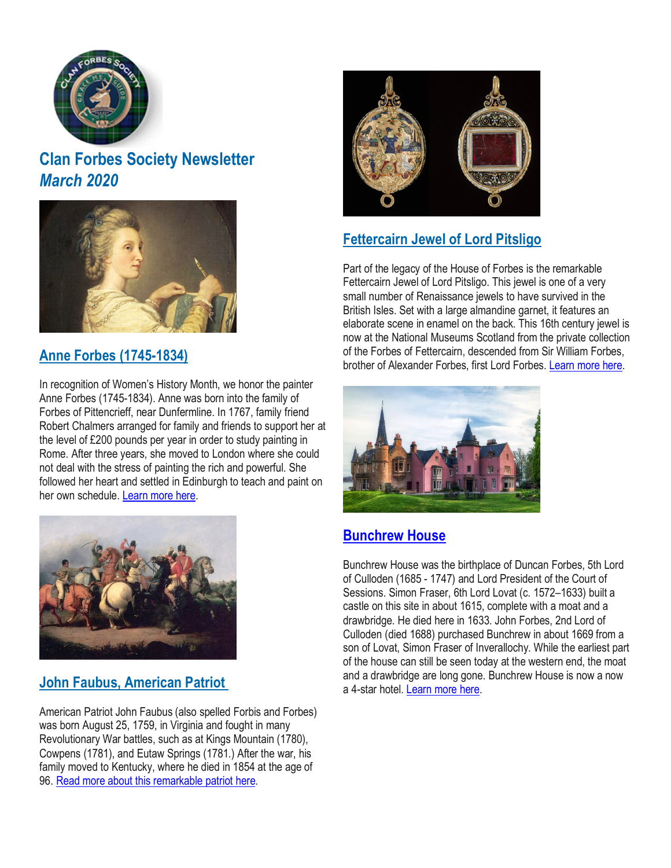

# **Clan Forbes Society Newsletter** *March 2020*



### **Anne Forbes [\(1745-1834\)](https://www.clan-forbes.org/anne-forbes)**

In recognition of Women's History Month, we honor the painter Anne Forbes (1745-1834). Anne was born into the family of Forbes of Pittencrieff, near Dunfermline. In 1767, family friend Robert Chalmers arranged for family and friends to support her at the level of £200 pounds per year in order to study painting in Rome. After three years, she moved to London where she could not deal with the stress of painting the rich and powerful. She followed her heart and settled in Edinburgh to teach and paint on her own schedule. [Learn](https://www.clan-forbes.org/anne-forbes) more here.

### **John Faubus, [American](https://www.clan-forbes.org/post/john-faubus-american-patriot) Patriot**

American Patriot John Faubus (also spelled Forbis and Forbes) was born August 25, 1759, in Virginia and fought in many Revolutionary War battles, such as at Kings Mountain (1780), Cowpens (1781), and Eutaw Springs (1781.) After the war, his family moved to Kentucky, where he died in 1854 at the age of 96. Read more about this [remarkable](https://www.clan-forbes.org/post/john-faubus-american-patriot) patriot here.



## **[Fettercairn](https://www.clan-forbes.org/fettercairn-jewel) Jewel of Lord Pitsligo**

Part of the legacy of the House of Forbes is the remarkable Fettercairn Jewel of Lord Pitsligo. This jewel is one of a very small number of Renaissance jewels to have survived in the British Isles. Set with a large almandine garnet, it features an elaborate scene in enamel on the back. This 16th century jewel is now at the National Museums Scotland from the private collection of the Forbes of Fettercairn, descended from Sir William Forbes, brother of Alexander Forbes, first Lord Forbes. [Learn](https://www.clan-forbes.org/fettercairn-jewel) more here.



### **[Bunchrew](https://www.clan-forbes.org/bunchrew) House**

Bunchrew House was the birthplace of Duncan Forbes, 5th Lord of Culloden (1685 - 1747) and Lord President of the Court of Sessions. Simon Fraser, 6th Lord Lovat (c. 1572–1633) built a castle on this site in about 1615, complete with a moat and a drawbridge. He died here in 1633. John Forbes, 2nd Lord of Culloden (died 1688) purchased Bunchrew in about 1669 from a son of Lovat, Simon Fraser of Inverallochy. While the earliest part of the house can still be seen today at the western end, the moat and a drawbridge are long gone. Bunchrew House is now a now a 4-star hotel. [Learn](https://www.clan-forbes.org/bunchrew) more here.